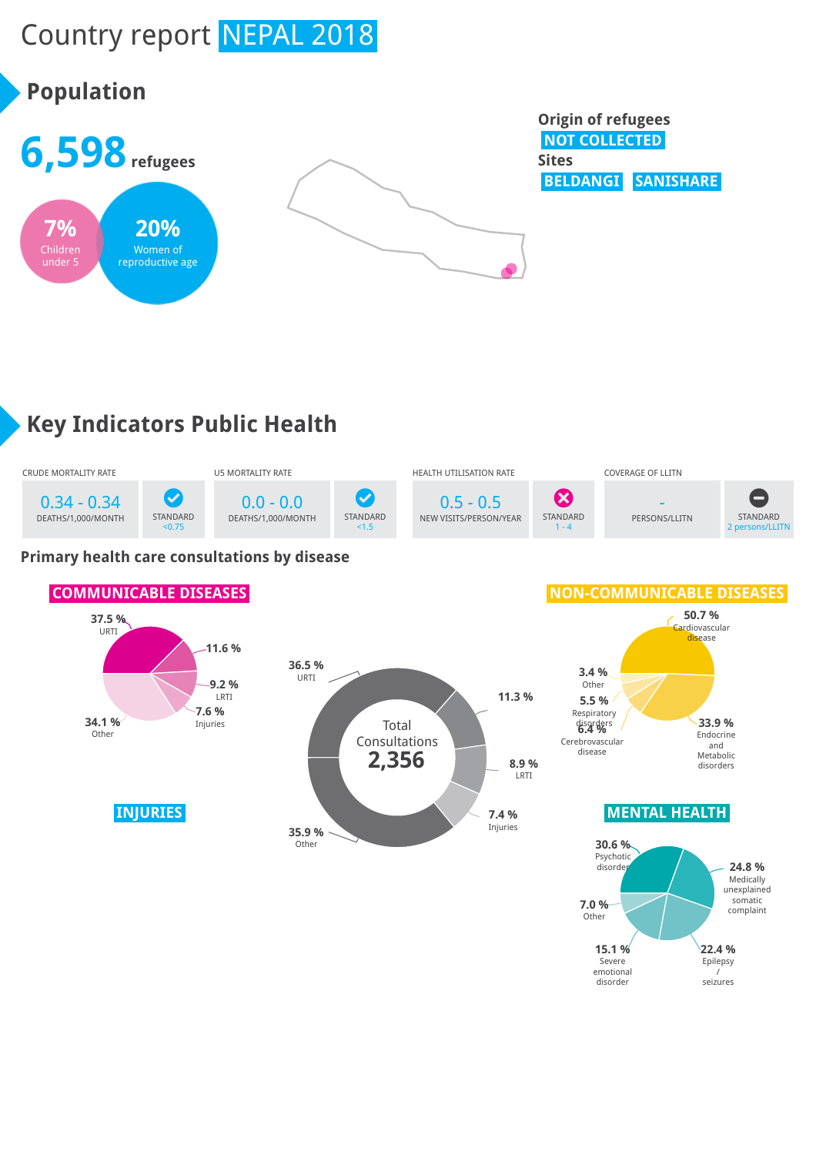# Country report NEPAL 2018

## **Population**



#### **Origin of refugees NOT COLLECTED Sites BELDANGI SANISHARE**

**22.4 %** Epilepsy / seizures

**15.1 %** Severe emotional disorder

# **Key Indicators Public Health**



#### **Primary health care consultations by disease**

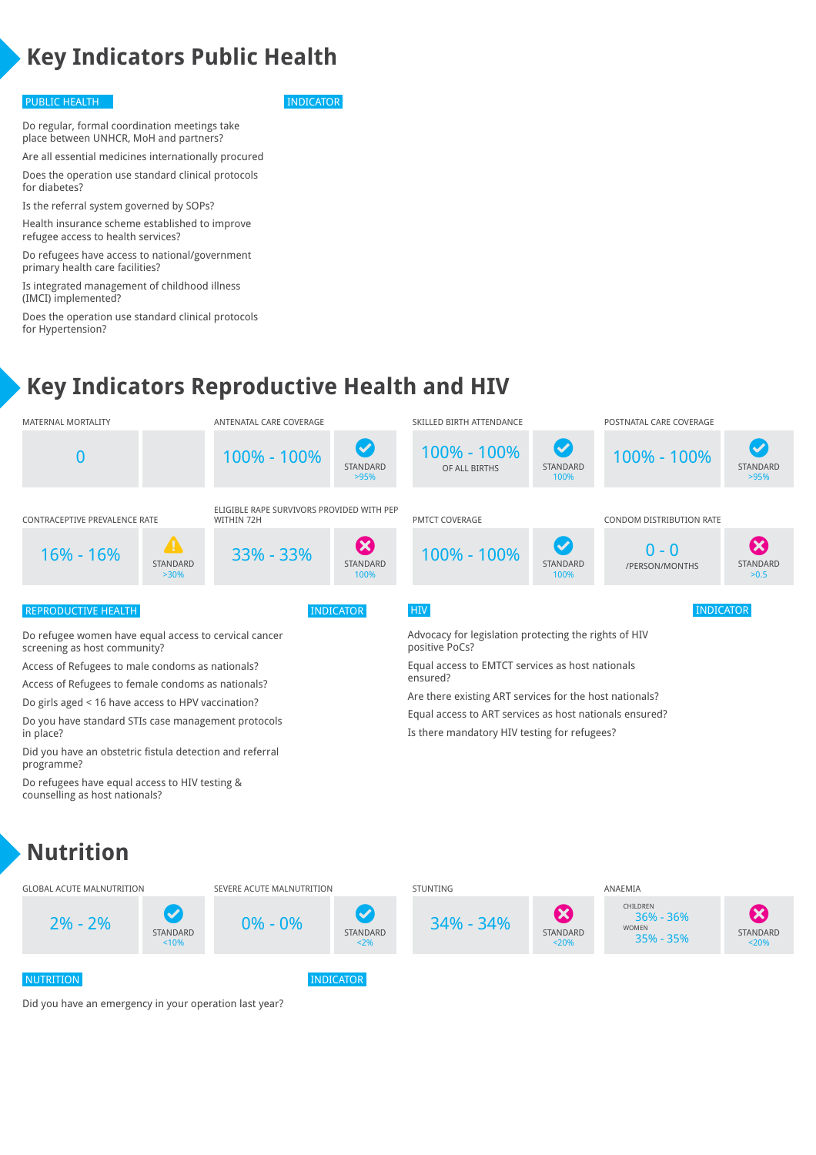## **Key Indicators Public Health**

#### PUBLIC HEALTH INDICATOR

Do regular, formal coordination meetings take place between UNHCR, MoH and partners?

Are all essential medicines internationally procured Does the operation use standard clinical protocols for diabetes?

Is the referral system governed by SOPs?

Health insurance scheme established to improve refugee access to health services?

Do refugees have access to national/government primary health care facilities?

Is integrated management of childhood illness (IMCI) implemented?

Does the operation use standard clinical protocols for Hypertension?

#### **Key Indicators Reproductive Health and HIV**



<2%

<20%

<20%

NUTRITION **INDICATOR** 

Did you have an emergency in your operation last year?

<10%